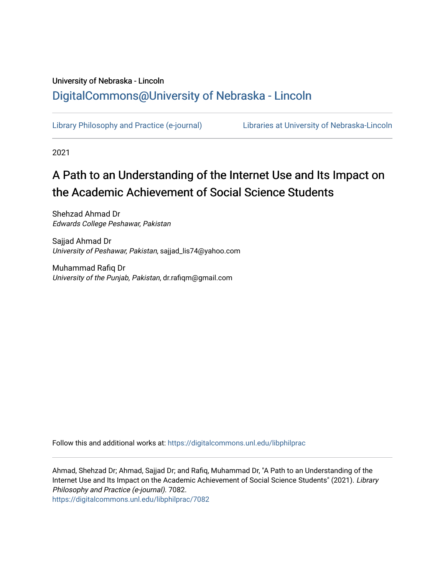# University of Nebraska - Lincoln [DigitalCommons@University of Nebraska - Lincoln](https://digitalcommons.unl.edu/)

[Library Philosophy and Practice \(e-journal\)](https://digitalcommons.unl.edu/libphilprac) [Libraries at University of Nebraska-Lincoln](https://digitalcommons.unl.edu/libraries) 

2021

# A Path to an Understanding of the Internet Use and Its Impact on the Academic Achievement of Social Science Students

Shehzad Ahmad Dr Edwards College Peshawar, Pakistan

Sajjad Ahmad Dr University of Peshawar, Pakistan, sajjad\_lis74@yahoo.com

Muhammad Rafiq Dr University of the Punjab, Pakistan, dr.rafiqm@gmail.com

Follow this and additional works at: [https://digitalcommons.unl.edu/libphilprac](https://digitalcommons.unl.edu/libphilprac?utm_source=digitalcommons.unl.edu%2Flibphilprac%2F7082&utm_medium=PDF&utm_campaign=PDFCoverPages) 

Ahmad, Shehzad Dr; Ahmad, Sajjad Dr; and Rafiq, Muhammad Dr, "A Path to an Understanding of the Internet Use and Its Impact on the Academic Achievement of Social Science Students" (2021). Library Philosophy and Practice (e-journal). 7082. [https://digitalcommons.unl.edu/libphilprac/7082](https://digitalcommons.unl.edu/libphilprac/7082?utm_source=digitalcommons.unl.edu%2Flibphilprac%2F7082&utm_medium=PDF&utm_campaign=PDFCoverPages)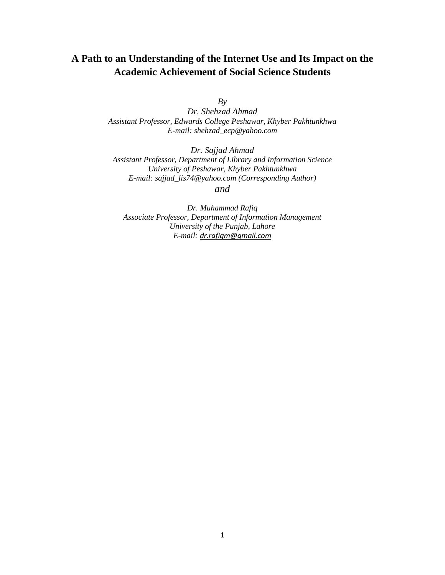# **A Path to an Understanding of the Internet Use and Its Impact on the Academic Achievement of Social Science Students**

*By* 

*Dr. Shehzad Ahmad Assistant Professor, Edwards College Peshawar, Khyber Pakhtunkhwa E-mail: [shehzad\\_ecp@yahoo.com](mailto:shehzad_ecp@yahoo.com)*

*Dr. Sajjad Ahmad Assistant Professor, Department of Library and Information Science University of Peshawar, Khyber Pakhtunkhwa E-mail: [sajjad\\_lis74@yahoo.com](mailto:sajjad_lis74@yahoo.com) (Corresponding Author)*

*and*

*Dr. Muhammad Rafiq Associate Professor, Department of Information Management University of the Punjab, Lahore E-mail: [dr.rafiqm@gmail.com](mailto:dr.rafiqm@gmail.com)*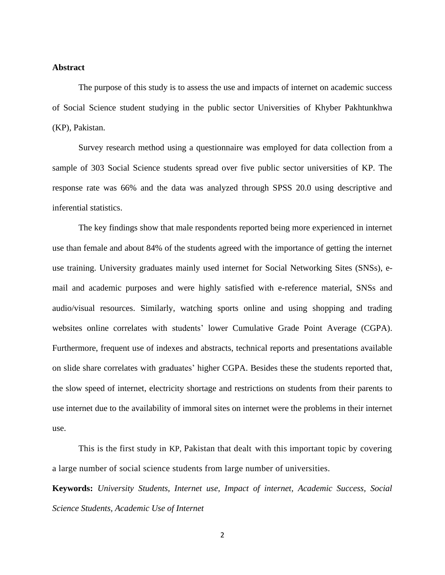# **Abstract**

The purpose of this study is to assess the use and impacts of internet on academic success of Social Science student studying in the public sector Universities of Khyber Pakhtunkhwa (KP), Pakistan.

Survey research method using a questionnaire was employed for data collection from a sample of 303 Social Science students spread over five public sector universities of KP. The response rate was 66% and the data was analyzed through SPSS 20.0 using descriptive and inferential statistics.

The key findings show that male respondents reported being more experienced in internet use than female and about 84% of the students agreed with the importance of getting the internet use training. University graduates mainly used internet for Social Networking Sites (SNSs), email and academic purposes and were highly satisfied with e-reference material, SNSs and audio/visual resources. Similarly, watching sports online and using shopping and trading websites online correlates with students' lower Cumulative Grade Point Average (CGPA). Furthermore, frequent use of indexes and abstracts, technical reports and presentations available on slide share correlates with graduates' higher CGPA. Besides these the students reported that, the slow speed of internet, electricity shortage and restrictions on students from their parents to use internet due to the availability of immoral sites on internet were the problems in their internet use.

This is the first study in KP, Pakistan that dealt with this important topic by covering a large number of social science students from large number of universities.

**Keywords:** *University Students, Internet use, Impact of internet, Academic Success, Social Science Students, Academic Use of Internet*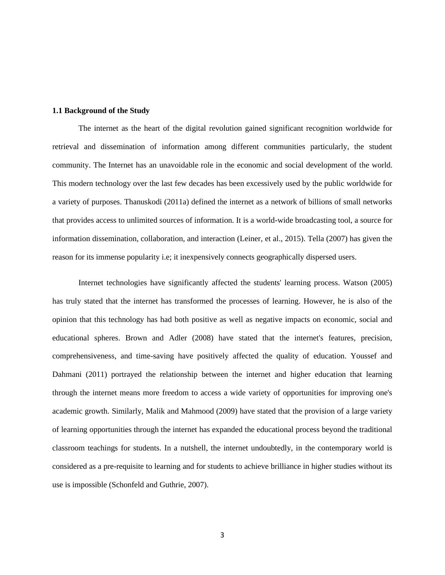# **1.1 Background of the Study**

The internet as the heart of the digital revolution gained significant recognition worldwide for retrieval and dissemination of information among different communities particularly, the student community. The Internet has an unavoidable role in the economic and social development of the world. This modern technology over the last few decades has been excessively used by the public worldwide for a variety of purposes. Thanuskodi (2011a) defined the internet as a network of billions of small networks that provides access to unlimited sources of information. It is a world-wide broadcasting tool, a source for information dissemination, collaboration, and interaction (Leiner, et al., 2015). Tella (2007) has given the reason for its immense popularity i.e; it inexpensively connects geographically dispersed users.

Internet technologies have significantly affected the students' learning process. Watson (2005) has truly stated that the internet has transformed the processes of learning. However, he is also of the opinion that this technology has had both positive as well as negative impacts on economic, social and educational spheres. Brown and Adler (2008) have stated that the internet's features, precision, comprehensiveness, and time-saving have positively affected the quality of education. Youssef and Dahmani (2011) portrayed the relationship between the internet and higher education that learning through the internet means more freedom to access a wide variety of opportunities for improving one's academic growth. Similarly, Malik and Mahmood (2009) have stated that the provision of a large variety of learning opportunities through the internet has expanded the educational process beyond the traditional classroom teachings for students. In a nutshell, the internet undoubtedly, in the contemporary world is considered as a pre-requisite to learning and for students to achieve brilliance in higher studies without its use is impossible (Schonfeld and Guthrie, 2007).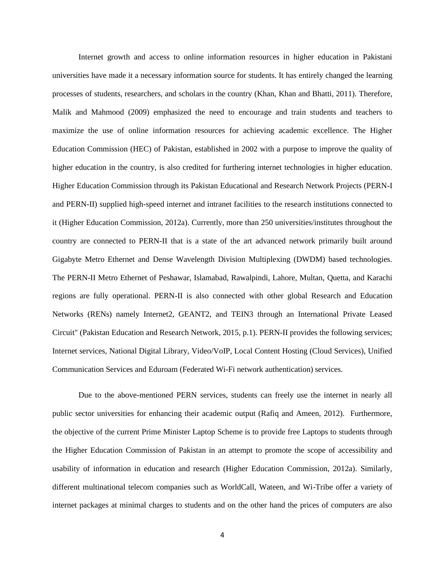Internet growth and access to online information resources in higher education in Pakistani universities have made it a necessary information source for students. It has entirely changed the learning processes of students, researchers, and scholars in the country (Khan, Khan and Bhatti, 2011). Therefore, Malik and Mahmood (2009) emphasized the need to encourage and train students and teachers to maximize the use of online information resources for achieving academic excellence. The Higher Education Commission (HEC) of Pakistan, established in 2002 with a purpose to improve the quality of higher education in the country, is also credited for furthering internet technologies in higher education. Higher Education Commission through its Pakistan Educational and Research Network Projects (PERN-I and PERN-II) supplied high-speed internet and intranet facilities to the research institutions connected to it (Higher Education Commission, 2012a). Currently, more than 250 universities/institutes throughout the country are connected to PERN-II that is a state of the art advanced network primarily built around Gigabyte Metro Ethernet and Dense Wavelength Division Multiplexing (DWDM) based technologies. The PERN-II Metro Ethernet of Peshawar, Islamabad, Rawalpindi, Lahore, Multan, Quetta, and Karachi regions are fully operational. PERN-II is also connected with other global Research and Education Networks (RENs) namely Internet2, GEANT2, and TEIN3 through an International Private Leased Circuit" (Pakistan Education and Research Network, 2015, p.1). PERN-II provides the following services; Internet services, National Digital Library, Video/VoIP, Local Content Hosting (Cloud Services), Unified Communication Services and Eduroam (Federated Wi-Fi network authentication) services.

Due to the above-mentioned PERN services, students can freely use the internet in nearly all public sector universities for enhancing their academic output (Rafiq and Ameen, 2012). Furthermore, the objective of the current Prime Minister Laptop Scheme is to provide free Laptops to students through the Higher Education Commission of Pakistan in an attempt to promote the scope of accessibility and usability of information in education and research (Higher Education Commission, 2012a). Similarly, different multinational telecom companies such as WorldCall, Wateen, and Wi-Tribe offer a variety of internet packages at minimal charges to students and on the other hand the prices of computers are also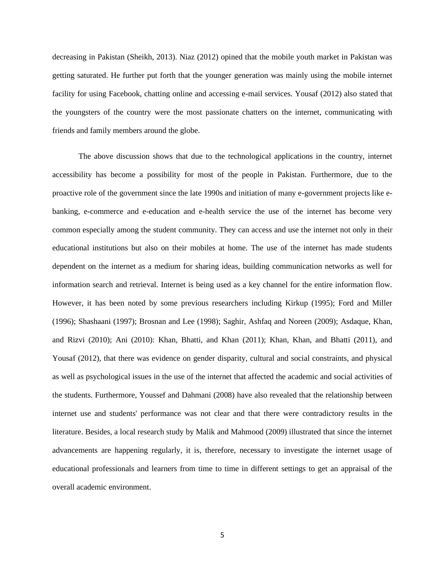decreasing in Pakistan (Sheikh, 2013). Niaz (2012) opined that the mobile youth market in Pakistan was getting saturated. He further put forth that the younger generation was mainly using the mobile internet facility for using Facebook, chatting online and accessing e-mail services. Yousaf (2012) also stated that the youngsters of the country were the most passionate chatters on the internet, communicating with friends and family members around the globe.

The above discussion shows that due to the technological applications in the country, internet accessibility has become a possibility for most of the people in Pakistan. Furthermore, due to the proactive role of the government since the late 1990s and initiation of many e-government projects like ebanking, e-commerce and e-education and e-health service the use of the internet has become very common especially among the student community. They can access and use the internet not only in their educational institutions but also on their mobiles at home. The use of the internet has made students dependent on the internet as a medium for sharing ideas, building communication networks as well for information search and retrieval. Internet is being used as a key channel for the entire information flow. However, it has been noted by some previous researchers including Kirkup (1995); Ford and Miller (1996); Shashaani (1997); Brosnan and Lee (1998); Saghir, Ashfaq and Noreen (2009); Asdaque, Khan, and Rizvi (2010); Ani (2010): Khan, Bhatti, and Khan (2011); Khan, Khan, and Bhatti (2011), and Yousaf (2012), that there was evidence on gender disparity, cultural and social constraints, and physical as well as psychological issues in the use of the internet that affected the academic and social activities of the students. Furthermore, Youssef and Dahmani (2008) have also revealed that the relationship between internet use and students' performance was not clear and that there were contradictory results in the literature. Besides, a local research study by Malik and Mahmood (2009) illustrated that since the internet advancements are happening regularly, it is, therefore, necessary to investigate the internet usage of educational professionals and learners from time to time in different settings to get an appraisal of the overall academic environment.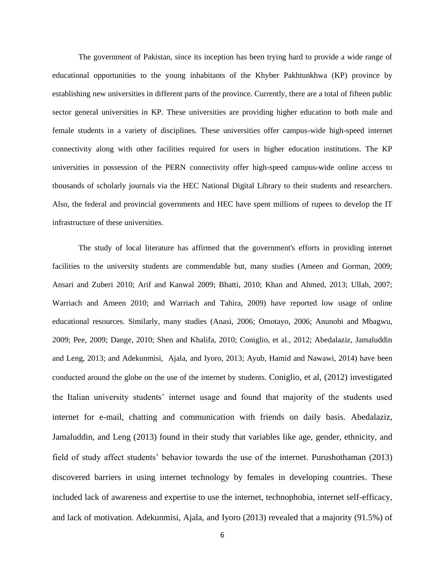The government of Pakistan, since its inception has been trying hard to provide a wide range of educational opportunities to the young inhabitants of the Khyber Pakhtunkhwa (KP) province by establishing new universities in different parts of the province. Currently, there are a total of fifteen public sector general universities in KP. These universities are providing higher education to both male and female students in a variety of disciplines. These universities offer campus-wide high-speed internet connectivity along with other facilities required for users in higher education institutions. The KP universities in possession of the PERN connectivity offer high-speed campus-wide online access to thousands of scholarly journals via the HEC National Digital Library to their students and researchers. Also, the federal and provincial governments and HEC have spent millions of rupees to develop the IT infrastructure of these universities.

The study of local literature has affirmed that the government's efforts in providing internet facilities to the university students are commendable but, many studies (Ameen and Gorman, 2009; Ansari and Zuberi 2010; Arif and Kanwal 2009; Bhatti, 2010; Khan and Ahmed, 2013; Ullah, 2007; Warriach and Ameen 2010; and Warriach and Tahira, 2009) have reported low usage of online educational resources. Similarly, many studies (Anasi, 2006; Omotayo, 2006; Anunobi and Mbagwu, 2009; Pee, 2009; Dange, 2010; Shen and Khalifa, 2010; Coniglio, et al., 2012; Abedalaziz, Jamaluddin and Leng, 2013; and Adekunmisi, Ajala, and Iyoro, 2013; Ayub, Hamid and Nawawi, 2014) have been conducted around the globe on the use of the internet by students. Coniglio, et al, (2012) investigated the Italian university students' internet usage and found that majority of the students used internet for e-mail, chatting and communication with friends on daily basis. Abedalaziz, Jamaluddin, and Leng (2013) found in their study that variables like age, gender, ethnicity, and field of study affect students' behavior towards the use of the internet. Purushothaman (2013) discovered barriers in using internet technology by females in developing countries. These included lack of awareness and expertise to use the internet, technophobia, internet self-efficacy, and lack of motivation. Adekunmisi, Ajala, and Iyoro (2013) revealed that a majority (91.5%) of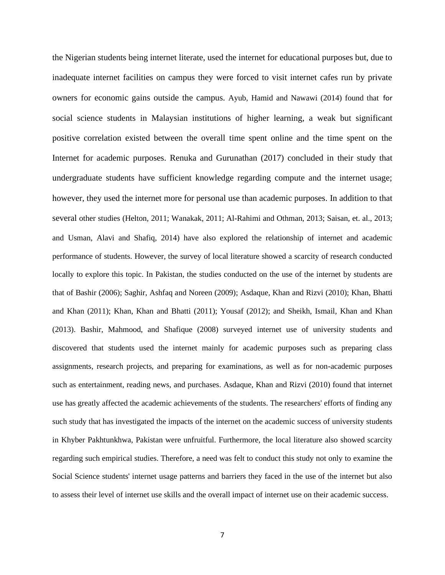the Nigerian students being internet literate, used the internet for educational purposes but, due to inadequate internet facilities on campus they were forced to visit internet cafes run by private owners for economic gains outside the campus. Ayub, Hamid and Nawawi (2014) found that for social science students in Malaysian institutions of higher learning, a weak but significant positive correlation existed between the overall time spent online and the time spent on the Internet for academic purposes. Renuka and Gurunathan (2017) concluded in their study that undergraduate students have sufficient knowledge regarding compute and the internet usage; however, they used the internet more for personal use than academic purposes. In addition to that several other studies (Helton, 2011; Wanakak, 2011; Al-Rahimi and Othman, 2013; Saisan, et. al., 2013; and Usman, Alavi and Shafiq, 2014) have also explored the relationship of internet and academic performance of students. However, the survey of local literature showed a scarcity of research conducted locally to explore this topic. In Pakistan, the studies conducted on the use of the internet by students are that of Bashir (2006); Saghir, Ashfaq and Noreen (2009); Asdaque, Khan and Rizvi (2010); Khan, Bhatti and Khan (2011); Khan, Khan and Bhatti (2011); Yousaf (2012); and Sheikh, Ismail, Khan and Khan (2013). Bashir, Mahmood, and Shafique (2008) surveyed internet use of university students and discovered that students used the internet mainly for academic purposes such as preparing class assignments, research projects, and preparing for examinations, as well as for non-academic purposes such as entertainment, reading news, and purchases. Asdaque, Khan and Rizvi (2010) found that internet use has greatly affected the academic achievements of the students. The researchers' efforts of finding any such study that has investigated the impacts of the internet on the academic success of university students in Khyber Pakhtunkhwa, Pakistan were unfruitful. Furthermore, the local literature also showed scarcity regarding such empirical studies. Therefore, a need was felt to conduct this study not only to examine the Social Science students' internet usage patterns and barriers they faced in the use of the internet but also to assess their level of internet use skills and the overall impact of internet use on their academic success.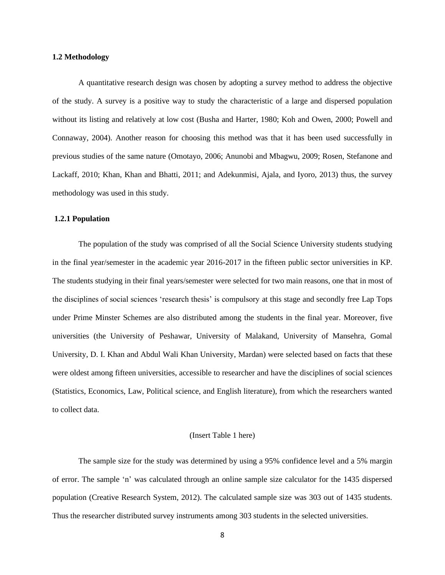### **1.2 Methodology**

A quantitative research design was chosen by adopting a survey method to address the objective of the study. A survey is a positive way to study the characteristic of a large and dispersed population without its listing and relatively at low cost (Busha and Harter, 1980; Koh and Owen, 2000; Powell and Connaway, 2004). Another reason for choosing this method was that it has been used successfully in previous studies of the same nature (Omotayo, 2006; Anunobi and Mbagwu, 2009; Rosen, Stefanone and Lackaff, 2010; Khan, Khan and Bhatti, 2011; and Adekunmisi, Ajala, and Iyoro, 2013) thus, the survey methodology was used in this study.

#### **1.2.1 Population**

The population of the study was comprised of all the Social Science University students studying in the final year/semester in the academic year 2016-2017 in the fifteen public sector universities in KP. The students studying in their final years/semester were selected for two main reasons, one that in most of the disciplines of social sciences 'research thesis' is compulsory at this stage and secondly free Lap Tops under Prime Minster Schemes are also distributed among the students in the final year. Moreover, five universities (the University of Peshawar, University of Malakand, University of Mansehra, Gomal University, D. I. Khan and Abdul Wali Khan University, Mardan) were selected based on facts that these were oldest among fifteen universities, accessible to researcher and have the disciplines of social sciences (Statistics, Economics, Law, Political science, and English literature), from which the researchers wanted to collect data.

# (Insert Table 1 here)

The sample size for the study was determined by using a 95% confidence level and a 5% margin of error. The sample 'n' was calculated through an online sample size calculator for the 1435 dispersed population (Creative Research System, 2012). The calculated sample size was 303 out of 1435 students. Thus the researcher distributed survey instruments among 303 students in the selected universities.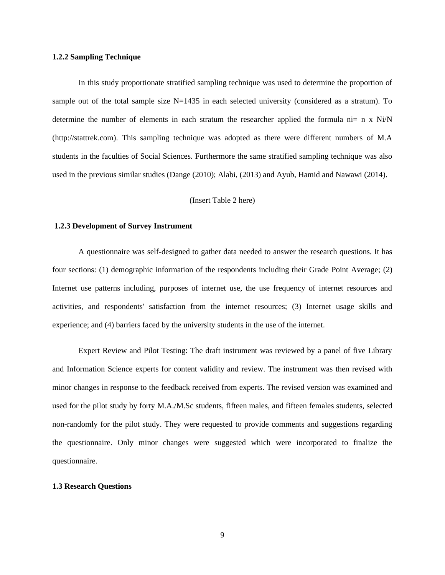## **1.2.2 Sampling Technique**

In this study proportionate stratified sampling technique was used to determine the proportion of sample out of the total sample size N=1435 in each selected university (considered as a stratum). To determine the number of elements in each stratum the researcher applied the formula  $n = n x N i/N$ (http://stattrek.com). This sampling technique was adopted as there were different numbers of M.A students in the faculties of Social Sciences. Furthermore the same stratified sampling technique was also used in the previous similar studies (Dange (2010); Alabi, (2013) and Ayub, Hamid and Nawawi (2014).

# (Insert Table 2 here)

#### **1.2.3 Development of Survey Instrument**

A questionnaire was self-designed to gather data needed to answer the research questions. It has four sections: (1) demographic information of the respondents including their Grade Point Average; (2) Internet use patterns including, purposes of internet use, the use frequency of internet resources and activities, and respondents' satisfaction from the internet resources; (3) Internet usage skills and experience; and (4) barriers faced by the university students in the use of the internet.

Expert Review and Pilot Testing: The draft instrument was reviewed by a panel of five Library and Information Science experts for content validity and review. The instrument was then revised with minor changes in response to the feedback received from experts. The revised version was examined and used for the pilot study by forty M.A./M.Sc students, fifteen males, and fifteen females students, selected non-randomly for the pilot study. They were requested to provide comments and suggestions regarding the questionnaire. Only minor changes were suggested which were incorporated to finalize the questionnaire.

## **1.3 Research Questions**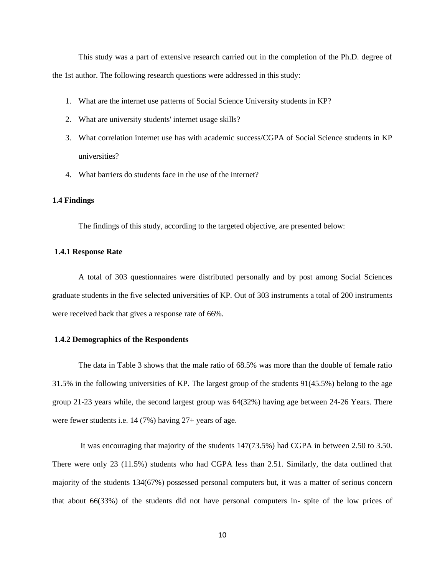This study was a part of extensive research carried out in the completion of the Ph.D. degree of the 1st author. The following research questions were addressed in this study:

- 1. What are the internet use patterns of Social Science University students in KP?
- 2. What are university students' internet usage skills?
- 3. What correlation internet use has with academic success/CGPA of Social Science students in KP universities?
- 4. What barriers do students face in the use of the internet?

# **1.4 Findings**

The findings of this study, according to the targeted objective, are presented below:

# **1.4.1 Response Rate**

A total of 303 questionnaires were distributed personally and by post among Social Sciences graduate students in the five selected universities of KP. Out of 303 instruments a total of 200 instruments were received back that gives a response rate of 66%.

# **1.4.2 Demographics of the Respondents**

The data in Table 3 shows that the male ratio of 68.5% was more than the double of female ratio 31.5% in the following universities of KP. The largest group of the students 91(45.5%) belong to the age group 21-23 years while, the second largest group was 64(32%) having age between 24-26 Years. There were fewer students i.e. 14 (7%) having 27+ years of age.

It was encouraging that majority of the students 147(73.5%) had CGPA in between 2.50 to 3.50. There were only 23 (11.5%) students who had CGPA less than 2.51. Similarly, the data outlined that majority of the students 134(67%) possessed personal computers but, it was a matter of serious concern that about 66(33%) of the students did not have personal computers in- spite of the low prices of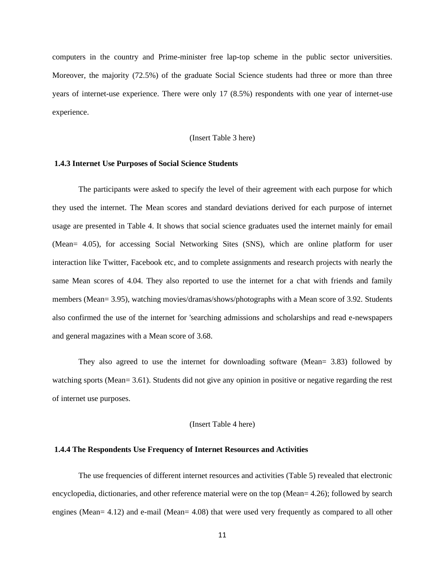computers in the country and Prime-minister free lap-top scheme in the public sector universities. Moreover, the majority (72.5%) of the graduate Social Science students had three or more than three years of internet-use experience. There were only 17 (8.5%) respondents with one year of internet-use experience.

# (Insert Table 3 here)

# **1.4.3 Internet Use Purposes of Social Science Students**

The participants were asked to specify the level of their agreement with each purpose for which they used the internet. The Mean scores and standard deviations derived for each purpose of internet usage are presented in Table 4. It shows that social science graduates used the internet mainly for email (Mean= 4.05), for accessing Social Networking Sites (SNS), which are online platform for user interaction like Twitter, Facebook etc, and to complete assignments and research projects with nearly the same Mean scores of 4.04. They also reported to use the internet for a chat with friends and family members (Mean= 3.95), watching movies/dramas/shows/photographs with a Mean score of 3.92. Students also confirmed the use of the internet for 'searching admissions and scholarships and read e-newspapers and general magazines with a Mean score of 3.68.

They also agreed to use the internet for downloading software (Mean= 3.83) followed by watching sports (Mean= 3.61). Students did not give any opinion in positive or negative regarding the rest of internet use purposes.

# (Insert Table 4 here)

#### **1.4.4 The Respondents Use Frequency of Internet Resources and Activities**

The use frequencies of different internet resources and activities (Table 5) revealed that electronic encyclopedia, dictionaries, and other reference material were on the top (Mean= 4.26); followed by search engines (Mean= 4.12) and e-mail (Mean= 4.08) that were used very frequently as compared to all other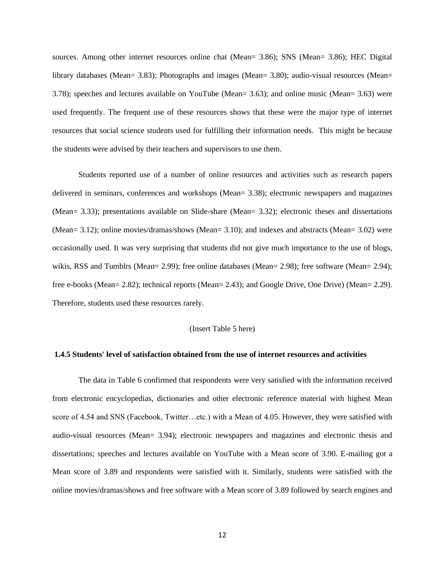sources. Among other internet resources online chat (Mean= 3.86); SNS (Mean= 3.86); HEC Digital library databases (Mean= 3.83); Photographs and images (Mean= 3.80); audio-visual resources (Mean= 3.78); speeches and lectures available on YouTube (Mean= 3.63); and online music (Mean= 3.63) were used frequently. The frequent use of these resources shows that these were the major type of internet resources that social science students used for fulfilling their information needs. This might be because the students were advised by their teachers and supervisors to use them.

Students reported use of a number of online resources and activities such as research papers delivered in seminars, conferences and workshops (Mean= 3.38); electronic newspapers and magazines (Mean= 3.33); presentations available on Slide-share (Mean= 3.32); electronic theses and dissertations (Mean= 3.12); online movies/dramas/shows (Mean= 3.10); and indexes and abstracts (Mean= 3.02) were occasionally used. It was very surprising that students did not give much importance to the use of blogs, wikis, RSS and Tumblrs (Mean= 2.99); free online databases (Mean= 2.98); free software (Mean= 2.94); free e-books (Mean= 2.82); technical reports (Mean= 2.43); and Google Drive, One Drive) (Mean= 2.29). Therefore, students used these resources rarely.

# (Insert Table 5 here)

#### **1.4.5 Students' level of satisfaction obtained from the use of internet resources and activities**

The data in Table 6 confirmed that respondents were very satisfied with the information received from electronic encyclopedias, dictionaries and other electronic reference material with highest Mean score of 4.54 and SNS (Facebook, Twitter…etc.) with a Mean of 4.05. However, they were satisfied with audio-visual resources (Mean= 3.94); electronic newspapers and magazines and electronic thesis and dissertations; speeches and lectures available on YouTube with a Mean score of 3.90. E-mailing got a Mean score of 3.89 and respondents were satisfied with it. Similarly, students were satisfied with the online movies/dramas/shows and free software with a Mean score of 3.89 followed by search engines and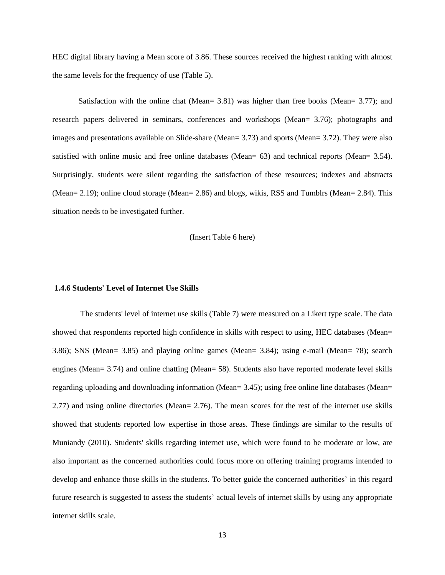HEC digital library having a Mean score of 3.86. These sources received the highest ranking with almost the same levels for the frequency of use (Table 5).

Satisfaction with the online chat (Mean= 3.81) was higher than free books (Mean= 3.77); and research papers delivered in seminars, conferences and workshops (Mean= 3.76); photographs and images and presentations available on Slide-share (Mean= 3.73) and sports (Mean= 3.72). They were also satisfied with online music and free online databases (Mean= 63) and technical reports (Mean= 3.54). Surprisingly, students were silent regarding the satisfaction of these resources; indexes and abstracts (Mean= 2.19); online cloud storage (Mean= 2.86) and blogs, wikis, RSS and Tumblrs (Mean= 2.84). This situation needs to be investigated further.

### (Insert Table 6 here)

# **1.4.6 Students' Level of Internet Use Skills**

The students' level of internet use skills (Table 7) were measured on a Likert type scale. The data showed that respondents reported high confidence in skills with respect to using, HEC databases (Mean= 3.86); SNS (Mean= 3.85) and playing online games (Mean= 3.84); using e-mail (Mean= 78); search engines (Mean= 3.74) and online chatting (Mean= 58). Students also have reported moderate level skills regarding uploading and downloading information (Mean= 3.45); using free online line databases (Mean= 2.77) and using online directories (Mean= 2.76). The mean scores for the rest of the internet use skills showed that students reported low expertise in those areas. These findings are similar to the results of Muniandy (2010). Students' skills regarding internet use, which were found to be moderate or low, are also important as the concerned authorities could focus more on offering training programs intended to develop and enhance those skills in the students. To better guide the concerned authorities' in this regard future research is suggested to assess the students' actual levels of internet skills by using any appropriate internet skills scale.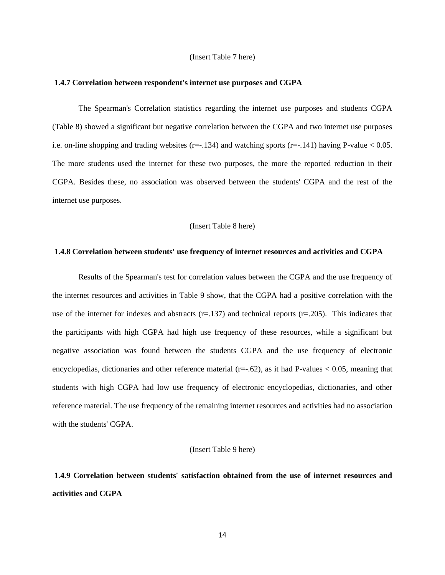#### (Insert Table 7 here)

#### **1.4.7 Correlation between respondent's internet use purposes and CGPA**

The Spearman's Correlation statistics regarding the internet use purposes and students CGPA (Table 8) showed a significant but negative correlation between the CGPA and two internet use purposes i.e. on-line shopping and trading websites (r=-.134) and watching sports (r=-.141) having P-value  $< 0.05$ . The more students used the internet for these two purposes, the more the reported reduction in their CGPA. Besides these, no association was observed between the students' CGPA and the rest of the internet use purposes.

(Insert Table 8 here)

# **1.4.8 Correlation between students' use frequency of internet resources and activities and CGPA**

Results of the Spearman's test for correlation values between the CGPA and the use frequency of the internet resources and activities in Table 9 show, that the CGPA had a positive correlation with the use of the internet for indexes and abstracts  $(r=137)$  and technical reports  $(r=205)$ . This indicates that the participants with high CGPA had high use frequency of these resources, while a significant but negative association was found between the students CGPA and the use frequency of electronic encyclopedias, dictionaries and other reference material ( $r=-.62$ ), as it had P-values < 0.05, meaning that students with high CGPA had low use frequency of electronic encyclopedias, dictionaries, and other reference material. The use frequency of the remaining internet resources and activities had no association with the students' CGPA.

(Insert Table 9 here)

**1.4.9 Correlation between students' satisfaction obtained from the use of internet resources and activities and CGPA**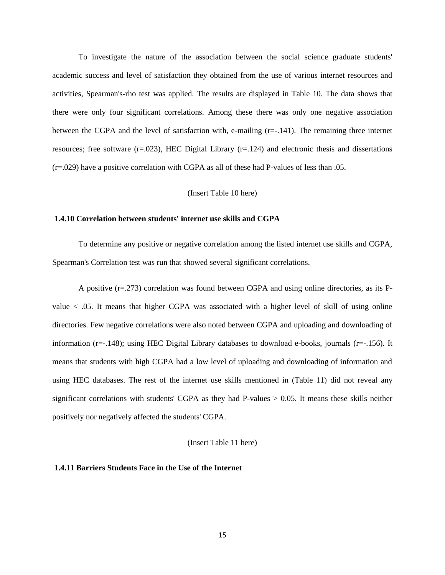To investigate the nature of the association between the social science graduate students' academic success and level of satisfaction they obtained from the use of various internet resources and activities, Spearman's-rho test was applied. The results are displayed in Table 10. The data shows that there were only four significant correlations. Among these there was only one negative association between the CGPA and the level of satisfaction with, e-mailing (r=-.141). The remaining three internet resources; free software  $(r=.023)$ , HEC Digital Library  $(r=.124)$  and electronic thesis and dissertations (r=.029) have a positive correlation with CGPA as all of these had P-values of less than .05.

### (Insert Table 10 here)

#### **1.4.10 Correlation between students' internet use skills and CGPA**

To determine any positive or negative correlation among the listed internet use skills and CGPA, Spearman's Correlation test was run that showed several significant correlations.

A positive  $(r=273)$  correlation was found between CGPA and using online directories, as its Pvalue < .05. It means that higher CGPA was associated with a higher level of skill of using online directories. Few negative correlations were also noted between CGPA and uploading and downloading of information (r=-.148); using HEC Digital Library databases to download e-books, journals (r=-.156). It means that students with high CGPA had a low level of uploading and downloading of information and using HEC databases. The rest of the internet use skills mentioned in (Table 11) did not reveal any significant correlations with students' CGPA as they had P-values  $> 0.05$ . It means these skills neither positively nor negatively affected the students' CGPA.

(Insert Table 11 here)

# **1.4.11 Barriers Students Face in the Use of the Internet**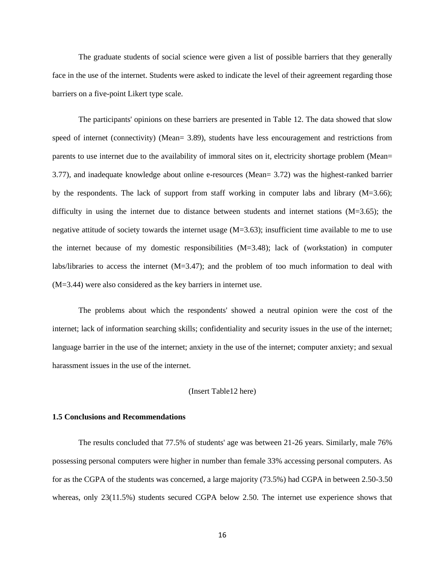The graduate students of social science were given a list of possible barriers that they generally face in the use of the internet. Students were asked to indicate the level of their agreement regarding those barriers on a five-point Likert type scale.

The participants' opinions on these barriers are presented in Table 12. The data showed that slow speed of internet (connectivity) (Mean= 3.89), students have less encouragement and restrictions from parents to use internet due to the availability of immoral sites on it, electricity shortage problem (Mean= 3.77), and inadequate knowledge about online e-resources (Mean= 3.72) was the highest-ranked barrier by the respondents. The lack of support from staff working in computer labs and library  $(M=3.66)$ ; difficulty in using the internet due to distance between students and internet stations (M=3.65); the negative attitude of society towards the internet usage  $(M=3.63)$ ; insufficient time available to me to use the internet because of my domestic responsibilities  $(M=3.48)$ ; lack of (workstation) in computer labs/libraries to access the internet (M=3.47); and the problem of too much information to deal with (M=3.44) were also considered as the key barriers in internet use.

The problems about which the respondents' showed a neutral opinion were the cost of the internet; lack of information searching skills; confidentiality and security issues in the use of the internet; language barrier in the use of the internet; anxiety in the use of the internet; computer anxiety; and sexual harassment issues in the use of the internet.

# (Insert Table12 here)

# **1.5 Conclusions and Recommendations**

The results concluded that 77.5% of students' age was between 21-26 years. Similarly, male 76% possessing personal computers were higher in number than female 33% accessing personal computers. As for as the CGPA of the students was concerned, a large majority (73.5%) had CGPA in between 2.50-3.50 whereas, only 23(11.5%) students secured CGPA below 2.50. The internet use experience shows that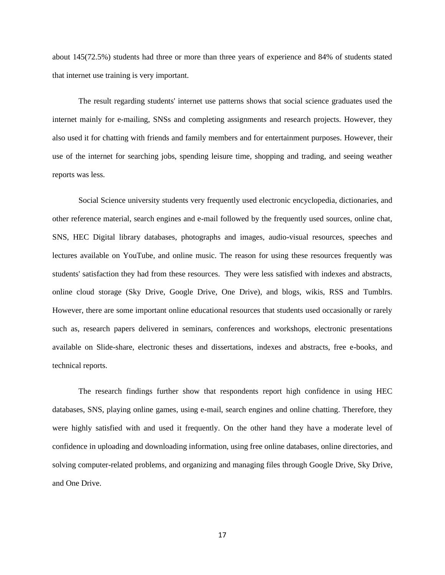about 145(72.5%) students had three or more than three years of experience and 84% of students stated that internet use training is very important.

The result regarding students' internet use patterns shows that social science graduates used the internet mainly for e-mailing, SNSs and completing assignments and research projects. However, they also used it for chatting with friends and family members and for entertainment purposes. However, their use of the internet for searching jobs, spending leisure time, shopping and trading, and seeing weather reports was less.

Social Science university students very frequently used electronic encyclopedia, dictionaries, and other reference material, search engines and e-mail followed by the frequently used sources, online chat, SNS, HEC Digital library databases, photographs and images, audio-visual resources, speeches and lectures available on YouTube, and online music. The reason for using these resources frequently was students' satisfaction they had from these resources. They were less satisfied with indexes and abstracts, online cloud storage (Sky Drive, Google Drive, One Drive), and blogs, wikis, RSS and Tumblrs. However, there are some important online educational resources that students used occasionally or rarely such as, research papers delivered in seminars, conferences and workshops, electronic presentations available on Slide-share, electronic theses and dissertations, indexes and abstracts, free e-books, and technical reports.

The research findings further show that respondents report high confidence in using HEC databases, SNS, playing online games, using e-mail, search engines and online chatting. Therefore, they were highly satisfied with and used it frequently. On the other hand they have a moderate level of confidence in uploading and downloading information, using free online databases, online directories, and solving computer-related problems, and organizing and managing files through Google Drive, Sky Drive, and One Drive.

17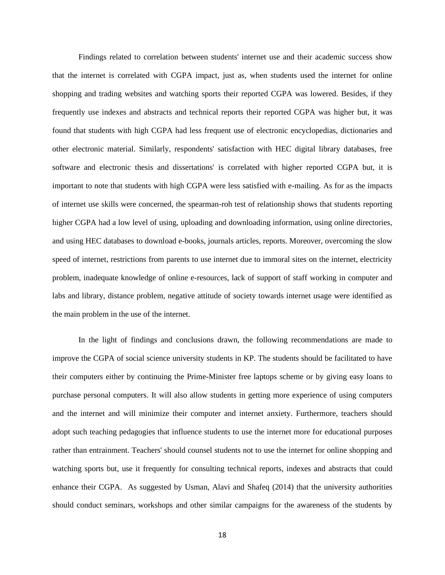Findings related to correlation between students' internet use and their academic success show that the internet is correlated with CGPA impact, just as, when students used the internet for online shopping and trading websites and watching sports their reported CGPA was lowered. Besides, if they frequently use indexes and abstracts and technical reports their reported CGPA was higher but, it was found that students with high CGPA had less frequent use of electronic encyclopedias, dictionaries and other electronic material. Similarly, respondents' satisfaction with HEC digital library databases, free software and electronic thesis and dissertations' is correlated with higher reported CGPA but, it is important to note that students with high CGPA were less satisfied with e-mailing. As for as the impacts of internet use skills were concerned, the spearman-roh test of relationship shows that students reporting higher CGPA had a low level of using, uploading and downloading information, using online directories, and using HEC databases to download e-books, journals articles, reports. Moreover, overcoming the slow speed of internet, restrictions from parents to use internet due to immoral sites on the internet, electricity problem, inadequate knowledge of online e-resources, lack of support of staff working in computer and labs and library, distance problem, negative attitude of society towards internet usage were identified as the main problem in the use of the internet.

In the light of findings and conclusions drawn, the following recommendations are made to improve the CGPA of social science university students in KP. The students should be facilitated to have their computers either by continuing the Prime-Minister free laptops scheme or by giving easy loans to purchase personal computers. It will also allow students in getting more experience of using computers and the internet and will minimize their computer and internet anxiety. Furthermore, teachers should adopt such teaching pedagogies that influence students to use the internet more for educational purposes rather than entrainment. Teachers' should counsel students not to use the internet for online shopping and watching sports but, use it frequently for consulting technical reports, indexes and abstracts that could enhance their CGPA. As suggested by Usman, Alavi and Shafeq (2014) that the university authorities should conduct seminars, workshops and other similar campaigns for the awareness of the students by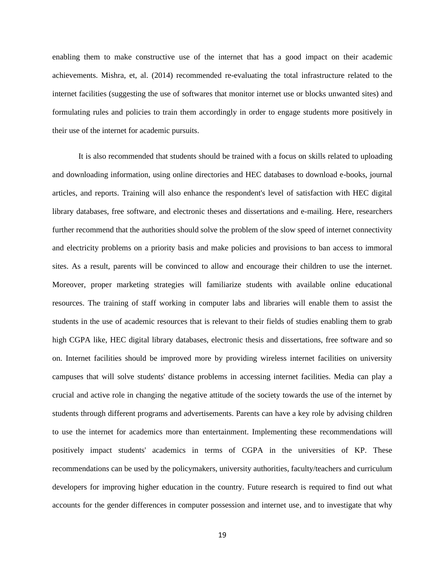enabling them to make constructive use of the internet that has a good impact on their academic achievements. Mishra, et, al. (2014) recommended re-evaluating the total infrastructure related to the internet facilities (suggesting the use of softwares that monitor internet use or blocks unwanted sites) and formulating rules and policies to train them accordingly in order to engage students more positively in their use of the internet for academic pursuits.

It is also recommended that students should be trained with a focus on skills related to uploading and downloading information, using online directories and HEC databases to download e-books, journal articles, and reports. Training will also enhance the respondent's level of satisfaction with HEC digital library databases, free software, and electronic theses and dissertations and e-mailing. Here, researchers further recommend that the authorities should solve the problem of the slow speed of internet connectivity and electricity problems on a priority basis and make policies and provisions to ban access to immoral sites. As a result, parents will be convinced to allow and encourage their children to use the internet. Moreover, proper marketing strategies will familiarize students with available online educational resources. The training of staff working in computer labs and libraries will enable them to assist the students in the use of academic resources that is relevant to their fields of studies enabling them to grab high CGPA like, HEC digital library databases, electronic thesis and dissertations, free software and so on. Internet facilities should be improved more by providing wireless internet facilities on university campuses that will solve students' distance problems in accessing internet facilities. Media can play a crucial and active role in changing the negative attitude of the society towards the use of the internet by students through different programs and advertisements. Parents can have a key role by advising children to use the internet for academics more than entertainment. Implementing these recommendations will positively impact students' academics in terms of CGPA in the universities of KP. These recommendations can be used by the policymakers, university authorities, faculty/teachers and curriculum developers for improving higher education in the country. Future research is required to find out what accounts for the gender differences in computer possession and internet use, and to investigate that why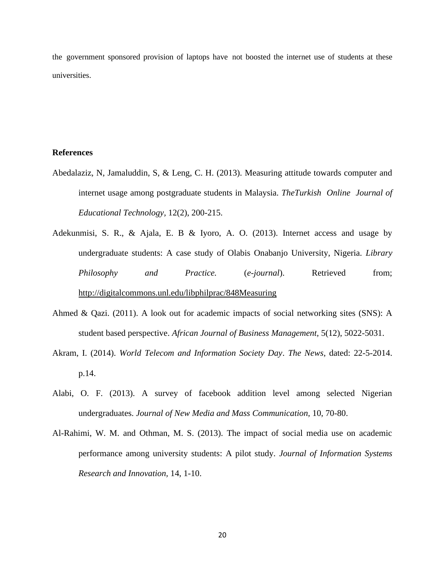the government sponsored provision of laptops have not boosted the internet use of students at these universities.

# **References**

- Abedalaziz, N, Jamaluddin, S, & Leng, C. H. (2013). Measuring attitude towards computer and internet usage among postgraduate students in Malaysia. *TheTurkish Online Journal of Educational Technology,* 12(2), 200-215.
- Adekunmisi, S. R., & Ajala, E. B & Iyoro, A. O. (2013). Internet access and usage by undergraduate students: A case study of Olabis Onabanjo University, Nigeria. *Library Philosophy and Practice.* (*e-journal*). Retrieved from; <http://digitalcommons.unl.edu/libphilprac/848Measuring>
- Ahmed & Qazi. (2011). A look out for academic impacts of social networking sites (SNS): A student based perspective. *African Journal of Business Management,* 5(12), 5022-5031.
- Akram, I. (2014). *World Telecom and Information Society Day*. *The News*, dated: 22-5-2014. p.14.
- Alabi, O. F. (2013). A survey of facebook addition level among selected Nigerian undergraduates. *Journal of New Media and Mass Communication,* 10, 70-80.
- Al-Rahimi, W. M. and Othman, M. S. (2013). The impact of social media use on academic performance among university students: A pilot study. *Journal of Information Systems Research and Innovation,* 14, 1-10.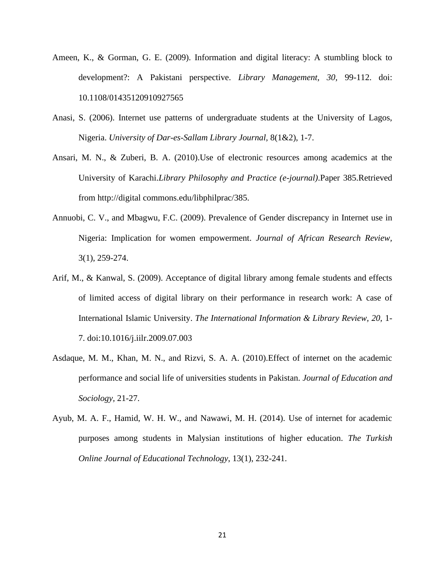- Ameen, K., & Gorman, G. E. (2009). Information and digital literacy: A stumbling block to development?: A Pakistani perspective. *Library Management, 30,* 99-112. doi: 10.1108/01435120910927565
- Anasi, S. (2006). Internet use patterns of undergraduate students at the University of Lagos, Nigeria. *University of Dar-es-Sallam Library Journal,* 8(1&2), 1-7.
- Ansari, M. N., & Zuberi, B. A. (2010).Use of electronic resources among academics at the University of Karachi.*Library Philosophy and Practice (e-journal)*.Paper 385.Retrieved from http://digital commons.edu/libphilprac/385.
- Annuobi, C. V., and Mbagwu, F.C. (2009). Prevalence of Gender discrepancy in Internet use in Nigeria: Implication for women empowerment. *Journal of African Research Review,*  3(1), 259-274.
- Arif, M., & Kanwal, S. (2009). Acceptance of digital library among female students and effects of limited access of digital library on their performance in research work: A case of International Islamic University. *The International Information & Library Review, 20,* 1- 7. doi:10.1016/j.iilr.2009.07.003
- Asdaque, M. M., Khan, M. N., and Rizvi, S. A. A. (2010).Effect of internet on the academic performance and social life of universities students in Pakistan. *Journal of Education and Sociology,* 21-27.
- Ayub, M. A. F., Hamid, W. H. W., and Nawawi, M. H. (2014). Use of internet for academic purposes among students in Malysian institutions of higher education. *The Turkish Online Journal of Educational Technology*, 13(1), 232-241.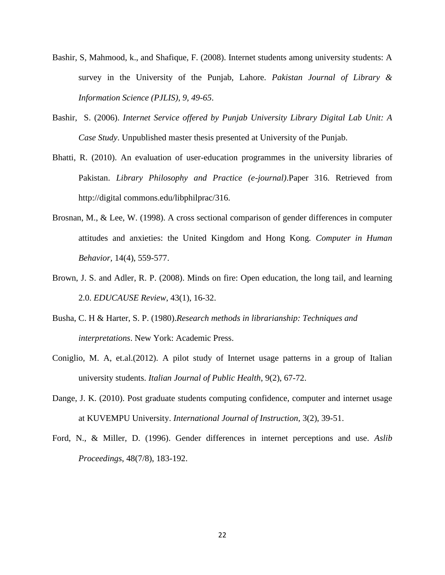- Bashir, S, Mahmood, k., and Shafique, F. (2008). Internet students among university students: A survey in the University of the Punjab, Lahore*. Pakistan Journal of Library & Information Science (PJLIS), 9, 49-65*.
- Bashir, S. (2006). *Internet Service offered by Punjab University Library Digital Lab Unit: A Case Study*. Unpublished master thesis presented at University of the Punjab.
- Bhatti, R. (2010). An evaluation of user-education programmes in the university libraries of Pakistan. *Library Philosophy and Practice (e-journal)*.Paper 316. Retrieved from http://digital commons.edu/libphilprac/316.
- Brosnan, M., & Lee, W. (1998). A cross sectional comparison of gender differences in computer attitudes and anxieties: the United Kingdom and Hong Kong*. Computer in Human Behavior,* 14(4), 559-577.
- Brown, J. S. and Adler, R. P. (2008). Minds on fire: Open education, the long tail, and learning 2.0. *EDUCAUSE Review*, 43(1), 16-32.
- Busha, C. H & Harter, S. P. (1980).*Research methods in librarianship: Techniques and interpretations*. New York: Academic Press.
- Coniglio, M. A, et.al.(2012). A pilot study of Internet usage patterns in a group of Italian university students. *Italian Journal of Public Health*, 9(2), 67-72.
- Dange, J. K. (2010). Post graduate students computing confidence, computer and internet usage at KUVEMPU University. *International Journal of Instruction,* 3(2), 39-51.
- Ford, N., & Miller, D. (1996). Gender differences in internet perceptions and use. *Aslib Proceedings*, 48(7/8), 183-192.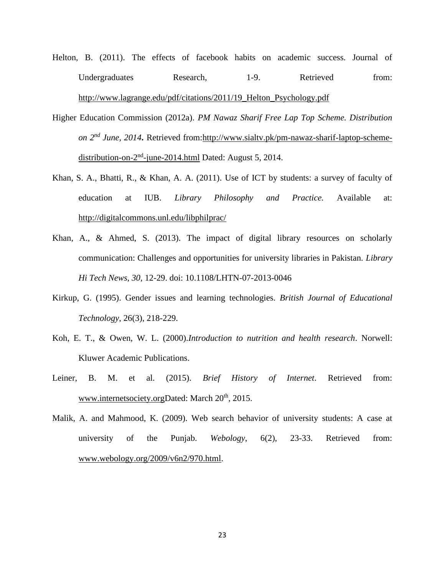- Helton, B. (2011). The effects of facebook habits on academic success. Journal of Undergraduates Research, 1-9. Retrieved from: [http://www.lagrange.edu/pdf/citations/2011/19\\_Helton\\_Psychology.pdf](http://www.lagrange.edu/pdf/citations/2011/19_Helton_Psychology.pdf)
- Higher Education Commission (2012a). *PM Nawaz Sharif Free Lap Top Scheme. Distribution on 2nd June, 2014***.** Retrieved from[:http://www.sialtv.pk/pm-nawaz-sharif-laptop-scheme](http://www.sialtv.pk/pm-nawaz-sharif-laptop-scheme-distribution-on-2nd-june-2014.html)[distribution-on-2](http://www.sialtv.pk/pm-nawaz-sharif-laptop-scheme-distribution-on-2nd-june-2014.html)<sup>nd</sup>-june-2014.html Dated: August 5, 2014.
- Khan, S. A., Bhatti, R., & Khan, A. A. (2011). Use of ICT by students: a survey of faculty of education at IUB. *Library Philosophy and Practice.* Available at: [http://digitalc](http://digital/)ommons.unl.edu/libphilprac/
- Khan, A., & Ahmed, S. (2013). The impact of digital library resources on scholarly communication: Challenges and opportunities for university libraries in Pakistan. *Library Hi Tech News, 30,* 12-29. doi: 10.1108/LHTN-07-2013-0046
- Kirkup, G. (1995). Gender issues and learning technologies. *British Journal of Educational Technology*, 26(3), 218-229.
- Koh, E. T., & Owen, W. L. (2000).*Introduction to nutrition and health research*. Norwell: Kluwer Academic Publications.
- Leiner, B. M. et al. (2015). *Brief History of Internet*. Retrieved from: [www.internetsociety.orgD](http://www.internetsociety.org/)ated: March 20<sup>th</sup>, 2015.
- Malik, A. and Mahmood, K. (2009). Web search behavior of university students: A case at university of the Punjab. *Webology*, 6(2), 23-33. Retrieved from: [www.webology.org/2009/v6n2/970.html.](http://www.webology.org/2009/v6n2/970.html)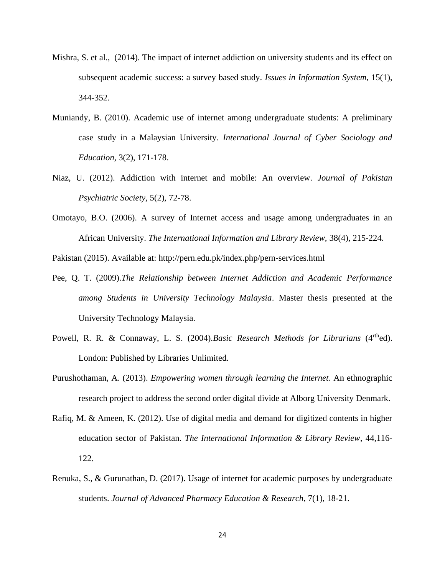- Mishra, S. et al., (2014). The impact of internet addiction on university students and its effect on subsequent academic success: a survey based study. *Issues in Information System,* 15(1), 344-352.
- Muniandy, B. (2010). Academic use of internet among undergraduate students: A preliminary case study in a Malaysian University. *International Journal of Cyber Sociology and Education,* 3(2), 171-178.
- Niaz, U. (2012). Addiction with internet and mobile: An overview. *Journal of Pakistan Psychiatric Society,* 5(2), 72-78.
- Omotayo, B.O. (2006). A survey of Internet access and usage among undergraduates in an African University. *The International Information and Library Review,* 38(4), 215-224.

Pakistan (2015). Available at:<http://pern.edu.pk/index.php/pern-services.html>

- Pee, Q. T. (2009).*The Relationship between Internet Addiction and Academic Performance among Students in University Technology Malaysia*. Master thesis presented at the University Technology Malaysia.
- Powell, R. R. & Connaway, L. S. (2004).*Basic Research Methods for Librarians* (4<sup>rth</sup>ed). London: Published by Libraries Unlimited.
- Purushothaman, A. (2013). *Empowering women through learning the Internet*. An ethnographic research project to address the second order digital divide at Alborg University Denmark.
- Rafiq, M. & Ameen, K. (2012). Use of digital media and demand for digitized contents in higher education sector of Pakistan. *The International Information & Library Review*, 44,116- 122.
- Renuka, S., & Gurunathan, D. (2017). Usage of internet for academic purposes by undergraduate students. *Journal of Advanced Pharmacy Education & Research*, 7(1), 18-21.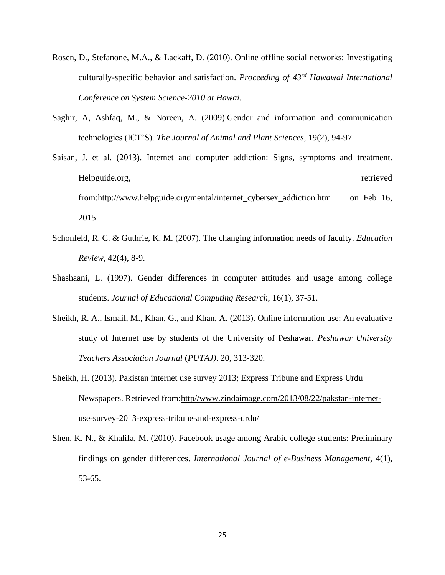- Rosen, D., Stefanone, M.A., & Lackaff, D. (2010). Online offline social networks: Investigating culturally-specific behavior and satisfaction. *Proceeding of 43rd Hawawai International Conference on System Science-2010 at Hawai*.
- Saghir, A, Ashfaq, M., & Noreen, A. (2009).Gender and information and communication technologies (ICT'S). *The Journal of Animal and Plant Sciences,* 19(2), 94-97.
- Saisan, J. et al. (2013). Internet and computer addiction: Signs, symptoms and treatment. Helpguide.org, retrieved from[:http://www.helpguide.org/mental/internet\\_cybersex\\_addiction.htm on Feb 16,](http://www.helpguide.org/mental/internet_cybersex_addiction.htm%20%20%20%20on%20Feb%2016) 2015.
- Schonfeld, R. C. & Guthrie, K. M. (2007). The changing information needs of faculty. *Education Review*, 42(4), 8-9.
- Shashaani, L. (1997). Gender differences in computer attitudes and usage among college students. *Journal of Educational Computing Research*, 16(1), 37-51.
- Sheikh, R. A., Ismail, M., Khan, G., and Khan, A. (2013). Online information use: An evaluative study of Internet use by students of the University of Peshawar. *Peshawar University Teachers Association Journal* (*PUTAJ)*. 20, 313-320.
- Sheikh, H. (2013). Pakistan internet use survey 2013; Express Tribune and Express Urdu Newspapers. Retrieved from:http//www.zindaimage.com/2013/08/22/pakstan-internetuse-survey-2013-express-tribune-and-express-urdu/
- Shen, K. N., & Khalifa, M. (2010). Facebook usage among Arabic college students: Preliminary findings on gender differences. *International Journal of e-Business Management,* 4(1), 53-65.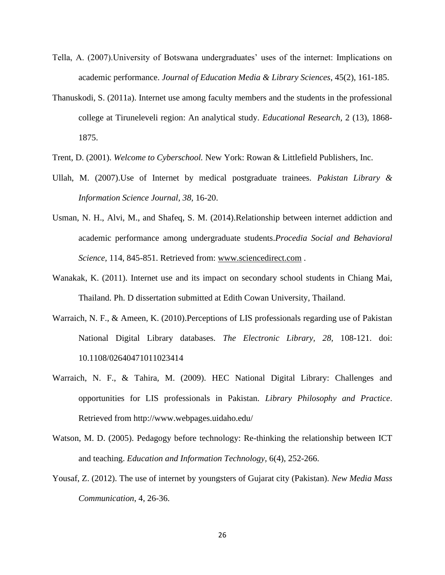- Tella, A. (2007).University of Botswana undergraduates' uses of the internet: Implications on academic performance. *Journal of Education Media & Library Sciences*, 45(2), 161-185.
- Thanuskodi, S. (2011a). Internet use among faculty members and the students in the professional college at Tiruneleveli region: An analytical study. *Educational Research,* 2 (13), 1868- 1875.
- Trent, D. (2001). *Welcome to Cyberschool.* New York: Rowan & Littlefield Publishers, Inc.
- Ullah, M. (2007).Use of Internet by medical postgraduate trainees. *Pakistan Library & Information Science Journal, 38,* 16-20.
- Usman, N. H., Alvi, M., and Shafeq, S. M. (2014).Relationship between internet addiction and academic performance among undergraduate students.*Procedia Social and Behavioral Science,* 114, 845-851. Retrieved from: [www.sciencedirect.com](http://www.sciencedirect.com/) .
- Wanakak, K. (2011). Internet use and its impact on secondary school students in Chiang Mai, Thailand. Ph. D dissertation submitted at Edith Cowan University, Thailand.
- Warraich, N. F., & Ameen, K. (2010). Perceptions of LIS professionals regarding use of Pakistan National Digital Library databases. *The Electronic Library, 28,* 108-121. doi: 10.1108/02640471011023414
- Warraich, N. F., & Tahira, M. (2009). HEC National Digital Library: Challenges and opportunities for LIS professionals in Pakistan. *Library Philosophy and Practice*. Retrieved from http://www.webpages.uidaho.edu/
- Watson, M. D. (2005). Pedagogy before technology: Re-thinking the relationship between ICT and teaching. *Education and Information Technology,* 6(4), 252-266.
- Yousaf, Z. (2012). The use of internet by youngsters of Gujarat city (Pakistan)*. New Media Mass Communication*, 4, 26-36.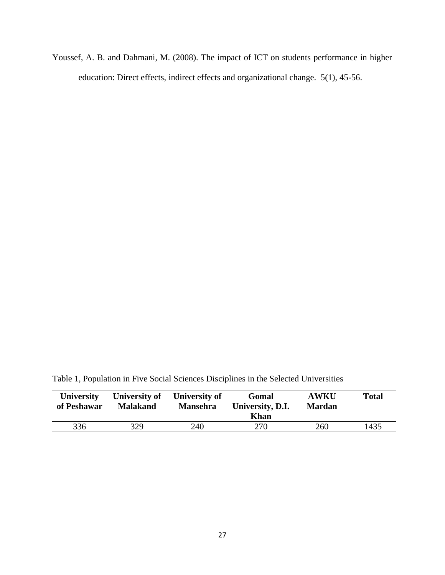Youssef, A. B. and Dahmani, M. (2008). The impact of ICT on students performance in higher education: Direct effects, indirect effects and organizational change. 5(1), 45-56.

Table 1, Population in Five Social Sciences Disciplines in the Selected Universities

| <b>University</b><br>of Peshawar | University of<br><b>Malakand</b> | University of<br><b>Mansehra</b> | Gomal<br>University, D.I.<br><b>Khan</b> | <b>AWKU</b><br><b>Mardan</b> | <b>Total</b> |
|----------------------------------|----------------------------------|----------------------------------|------------------------------------------|------------------------------|--------------|
| 336                              | 329                              | 240                              | 270                                      | 260                          | 1435         |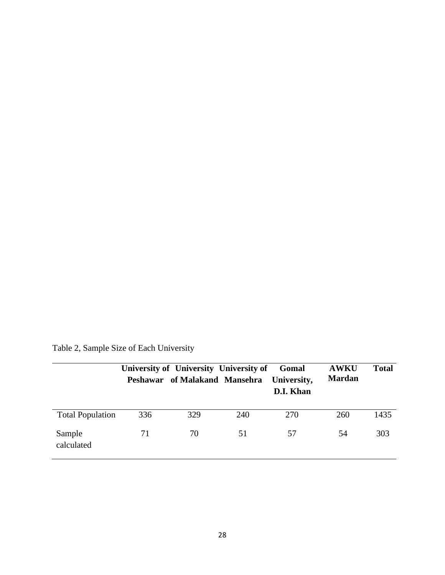|                         |     | University of University University of<br>Peshawar of Malakand Mansehra |     | Gomal<br>University,<br>D.I. Khan | <b>AWKU</b><br><b>Mardan</b> | <b>Total</b> |
|-------------------------|-----|-------------------------------------------------------------------------|-----|-----------------------------------|------------------------------|--------------|
| <b>Total Population</b> | 336 | 329                                                                     | 240 | 270                               | 260                          | 1435         |
| Sample<br>calculated    | 71  | 70                                                                      | 51  | 57                                | 54                           | 303          |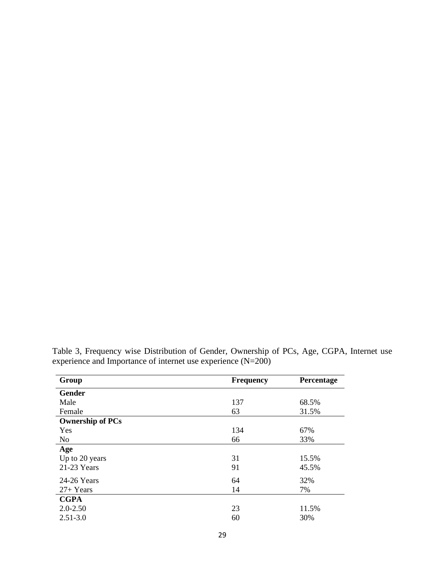| Group                   | <b>Frequency</b> | Percentage |
|-------------------------|------------------|------------|
| Gender                  |                  |            |
| Male                    | 137              | 68.5%      |
| Female                  | 63               | 31.5%      |
| <b>Ownership of PCs</b> |                  |            |
| Yes                     | 134              | 67%        |
| N <sub>o</sub>          | 66               | 33%        |
| Age                     |                  |            |
| Up to 20 years          | 31               | 15.5%      |
| $21-23$ Years           | 91               | 45.5%      |
| 24-26 Years             | 64               | 32%        |
| $27+Years$              | 14               | 7%         |
| <b>CGPA</b>             |                  |            |
| $2.0 - 2.50$            | 23               | 11.5%      |
| $2.51 - 3.0$            | 60               | 30%        |

Table 3, Frequency wise Distribution of Gender, Ownership of PCs, Age, CGPA, Internet use experience and Importance of internet use experience (N=200)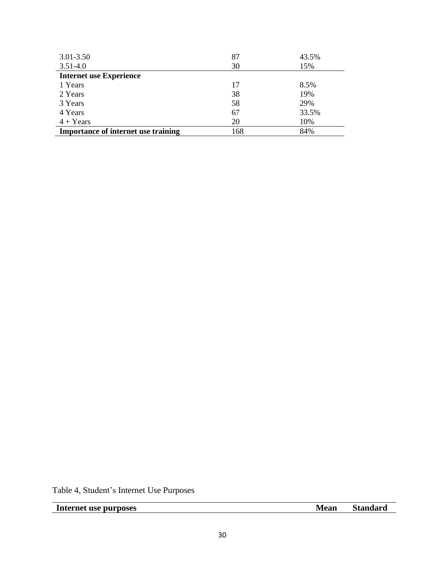| $3.01 - 3.50$                              | 87  | 43.5% |
|--------------------------------------------|-----|-------|
| $3.51 - 4.0$                               | 30  | 15%   |
| <b>Internet use Experience</b>             |     |       |
| 1 Years                                    | 17  | 8.5%  |
| 2 Years                                    | 38  | 19%   |
| 3 Years                                    | 58  | 29%   |
| 4 Years                                    | 67  | 33.5% |
| $4 + Years$                                | 20  | 10%   |
| <b>Importance of internet use training</b> | 168 | 84%   |

Table 4, Student's Internet Use Purposes

**Internet use purposes Mean Standard**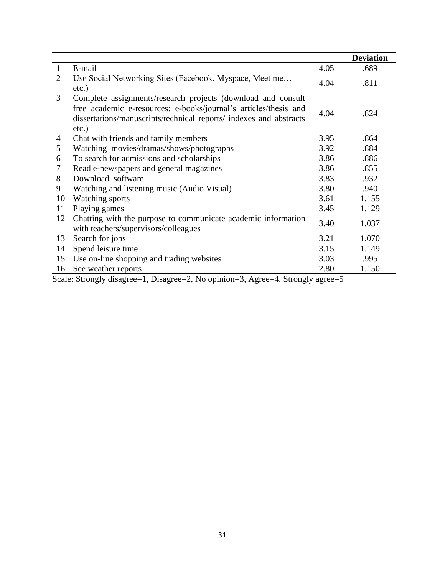|              |                                                                                                                                                                                                                    |      | <b>Deviation</b> |
|--------------|--------------------------------------------------------------------------------------------------------------------------------------------------------------------------------------------------------------------|------|------------------|
| $\mathbf{1}$ | E-mail                                                                                                                                                                                                             | 4.05 | .689             |
| 2            | Use Social Networking Sites (Facebook, Myspace, Meet me<br>$etc.$ )                                                                                                                                                | 4.04 | .811             |
| 3            | Complete assignments/research projects (download and consult<br>free academic e-resources: e-books/journal's articles/thesis and<br>dissertations/manuscripts/technical reports/ indexes and abstracts<br>$etc.$ ) | 4.04 | .824             |
| 4            | Chat with friends and family members                                                                                                                                                                               | 3.95 | .864             |
| 5            | Watching movies/dramas/shows/photographs                                                                                                                                                                           | 3.92 | .884             |
| 6            | To search for admissions and scholarships                                                                                                                                                                          | 3.86 | .886             |
| 7            | Read e-newspapers and general magazines                                                                                                                                                                            | 3.86 | .855             |
| 8            | Download software                                                                                                                                                                                                  | 3.83 | .932             |
| 9            | Watching and listening music (Audio Visual)                                                                                                                                                                        | 3.80 | .940             |
| 10           | <b>Watching sports</b>                                                                                                                                                                                             | 3.61 | 1.155            |
| 11           | Playing games                                                                                                                                                                                                      | 3.45 | 1.129            |
| 12           | Chatting with the purpose to communicate academic information<br>with teachers/supervisors/colleagues                                                                                                              | 3.40 | 1.037            |
| 13           | Search for jobs                                                                                                                                                                                                    | 3.21 | 1.070            |
| 14           | Spend leisure time                                                                                                                                                                                                 | 3.15 | 1.149            |
| 15           | Use on-line shopping and trading websites                                                                                                                                                                          | 3.03 | .995             |
| 16           | See weather reports                                                                                                                                                                                                | 2.80 | 1.150            |

Scale: Strongly disagree=1, Disagree=2, No opinion=3, Agree=4, Strongly agree=5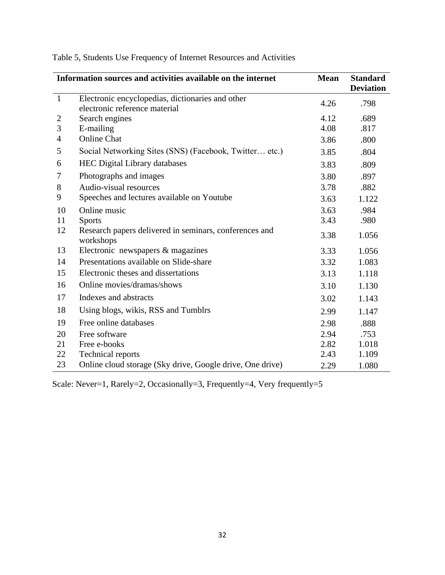|                | Information sources and activities available on the internet                      | <b>Mean</b> | <b>Standard</b><br><b>Deviation</b> |
|----------------|-----------------------------------------------------------------------------------|-------------|-------------------------------------|
| $\mathbf{1}$   | Electronic encyclopedias, dictionaries and other<br>electronic reference material | 4.26        | .798                                |
| $\overline{2}$ | Search engines                                                                    | 4.12        | .689                                |
| 3              | E-mailing                                                                         | 4.08        | .817                                |
| $\overline{4}$ | <b>Online Chat</b>                                                                | 3.86        | .800                                |
| 5              | Social Networking Sites (SNS) (Facebook, Twitter etc.)                            | 3.85        | .804                                |
| 6              | <b>HEC Digital Library databases</b>                                              | 3.83        | .809                                |
| $\tau$         | Photographs and images                                                            | 3.80        | .897                                |
| 8              | Audio-visual resources                                                            | 3.78        | .882                                |
| 9              | Speeches and lectures available on Youtube                                        | 3.63        | 1.122                               |
| 10             | Online music                                                                      | 3.63        | .984                                |
| 11             | <b>Sports</b>                                                                     | 3.43        | .980                                |
| 12             | Research papers delivered in seminars, conferences and<br>workshops               | 3.38        | 1.056                               |
| 13             | Electronic newspapers & magazines                                                 | 3.33        | 1.056                               |
| 14             | Presentations available on Slide-share                                            | 3.32        | 1.083                               |
| 15             | Electronic theses and dissertations                                               | 3.13        | 1.118                               |
| 16             | Online movies/dramas/shows                                                        | 3.10        | 1.130                               |
| 17             | Indexes and abstracts                                                             | 3.02        | 1.143                               |
| 18             | Using blogs, wikis, RSS and Tumblrs                                               | 2.99        | 1.147                               |
| 19             | Free online databases                                                             | 2.98        | .888                                |
| 20             | Free software                                                                     | 2.94        | .753                                |
| 21             | Free e-books                                                                      | 2.82        | 1.018                               |
| 22             | <b>Technical reports</b>                                                          | 2.43        | 1.109                               |
| 23             | Online cloud storage (Sky drive, Google drive, One drive)                         | 2.29        | 1.080                               |

Table 5, Students Use Frequency of Internet Resources and Activities

Scale: Never=1, Rarely=2, Occasionally=3, Frequently=4, Very frequently=5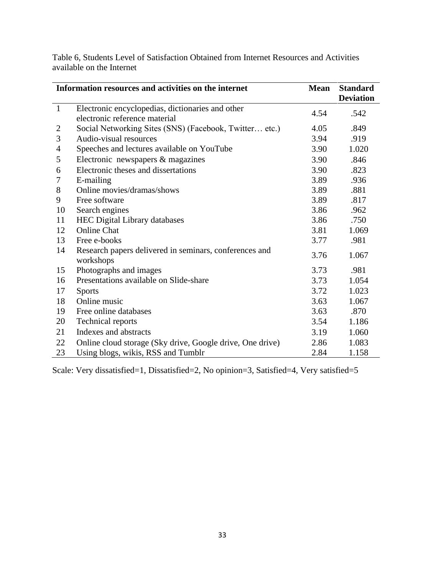|                | Information resources and activities on the internet      | <b>Mean</b> | <b>Standard</b>  |
|----------------|-----------------------------------------------------------|-------------|------------------|
|                |                                                           |             | <b>Deviation</b> |
| $\mathbf{1}$   | Electronic encyclopedias, dictionaries and other          | 4.54        | .542             |
|                | electronic reference material                             |             |                  |
| $\overline{c}$ | Social Networking Sites (SNS) (Facebook, Twitter etc.)    | 4.05        | .849             |
| 3              | Audio-visual resources                                    | 3.94        | .919             |
| $\overline{4}$ | Speeches and lectures available on YouTube                | 3.90        | 1.020            |
| 5              | Electronic newspapers & magazines                         | 3.90        | .846             |
| 6              | Electronic theses and dissertations                       | 3.90        | .823             |
| 7              | E-mailing                                                 | 3.89        | .936             |
| 8              | Online movies/dramas/shows                                | 3.89        | .881             |
| 9              | Free software                                             | 3.89        | .817             |
| 10             | Search engines                                            | 3.86        | .962             |
| 11             | <b>HEC Digital Library databases</b>                      | 3.86        | .750             |
| 12             | <b>Online Chat</b>                                        | 3.81        | 1.069            |
| 13             | Free e-books                                              | 3.77        | .981             |
| 14             | Research papers delivered in seminars, conferences and    | 3.76        | 1.067            |
|                | workshops                                                 |             |                  |
| 15             | Photographs and images                                    | 3.73        | .981             |
| 16             | Presentations available on Slide-share                    | 3.73        | 1.054            |
| 17             | <b>Sports</b>                                             | 3.72        | 1.023            |
| 18             | Online music                                              | 3.63        | 1.067            |
| 19             | Free online databases                                     | 3.63        | .870             |
| 20             | <b>Technical reports</b>                                  | 3.54        | 1.186            |
| 21             | Indexes and abstracts                                     | 3.19        | 1.060            |
| 22             | Online cloud storage (Sky drive, Google drive, One drive) | 2.86        | 1.083            |
| 23             | Using blogs, wikis, RSS and Tumblr                        | 2.84        | 1.158            |

Table 6, Students Level of Satisfaction Obtained from Internet Resources and Activities available on the Internet

Scale: Very dissatisfied=1, Dissatisfied=2, No opinion=3, Satisfied=4, Very satisfied=5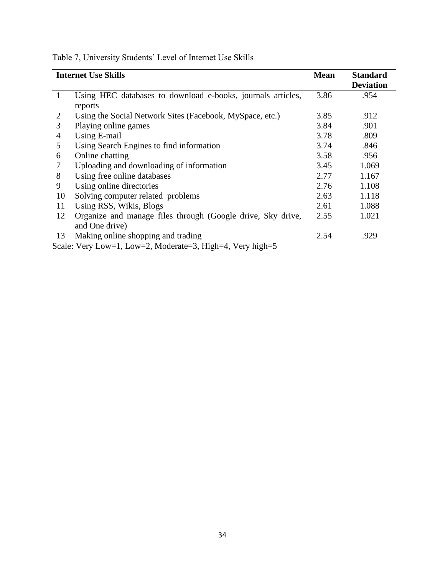|              | <b>Internet Use Skills</b>                                  | <b>Mean</b> | <b>Standard</b>  |
|--------------|-------------------------------------------------------------|-------------|------------------|
|              |                                                             |             | <b>Deviation</b> |
| $\mathbf{1}$ | Using HEC databases to download e-books, journals articles, | 3.86        | .954             |
|              | reports                                                     |             |                  |
| 2            | Using the Social Network Sites (Facebook, MySpace, etc.)    | 3.85        | .912             |
| 3            | Playing online games                                        | 3.84        | .901             |
| 4            | Using E-mail                                                | 3.78        | .809             |
| 5            | Using Search Engines to find information                    | 3.74        | .846             |
| 6            | Online chatting                                             | 3.58        | .956             |
|              | Uploading and downloading of information                    | 3.45        | 1.069            |
| 8            | Using free online databases                                 | 2.77        | 1.167            |
| 9            | Using online directories                                    | 2.76        | 1.108            |
| 10           | Solving computer related problems                           | 2.63        | 1.118            |
| 11           | Using RSS, Wikis, Blogs                                     | 2.61        | 1.088            |
| 12           | Organize and manage files through (Google drive, Sky drive, | 2.55        | 1.021            |
|              | and One drive)                                              |             |                  |
| 13           | Making online shopping and trading                          | 2.54        | .929             |
|              | Scale: Very Low=1, Low=2, Moderate=3, High=4, Very high=5   |             |                  |

Table 7, University Students' Level of Internet Use Skills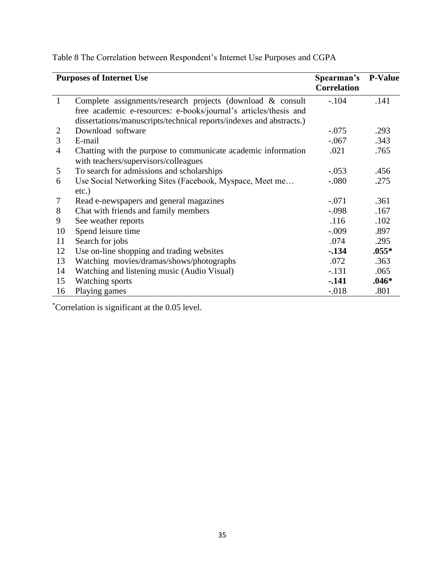|              | <b>Purposes of Internet Use</b>                                     | Spearman's<br><b>Correlation</b> | <b>P-Value</b> |
|--------------|---------------------------------------------------------------------|----------------------------------|----------------|
| $\mathbf{1}$ | Complete assignments/research projects (download & consult          | $-.104$                          | .141           |
|              | free academic e-resources: e-books/journal's articles/thesis and    |                                  |                |
|              | dissertations/manuscripts/technical reports/indexes and abstracts.) |                                  |                |
| 2            | Download software                                                   | $-.075$                          | .293           |
| 3            | E-mail                                                              | $-.067$                          | .343           |
| 4            | Chatting with the purpose to communicate academic information       | .021                             | .765           |
|              | with teachers/supervisors/colleagues                                |                                  |                |
| 5            | To search for admissions and scholarships                           | $-.053$                          | .456           |
| 6            | Use Social Networking Sites (Facebook, Myspace, Meet me             | $-.080$                          | .275           |
|              | $etc.$ )                                                            |                                  |                |
| 7            | Read e-newspapers and general magazines                             | $-.071$                          | .361           |
| 8            | Chat with friends and family members                                | $-.098$                          | .167           |
| 9            | See weather reports                                                 | .116                             | .102           |
| 10           | Spend leisure time                                                  | $-.009$                          | .897           |
| 11           | Search for jobs                                                     | .074                             | .295           |
| 12           | Use on-line shopping and trading websites                           | $-134$                           | $.055*$        |
| 13           | Watching movies/dramas/shows/photographs                            | .072                             | .363           |
| 14           | Watching and listening music (Audio Visual)                         | $-.131$                          | .065           |
| 15           | Watching sports                                                     | $-.141$                          | $.046*$        |
| 16           | Playing games                                                       | $-0.018$                         | .801           |

Table 8 The Correlation between Respondent's Internet Use Purposes and CGPA

\*Correlation is significant at the 0.05 level.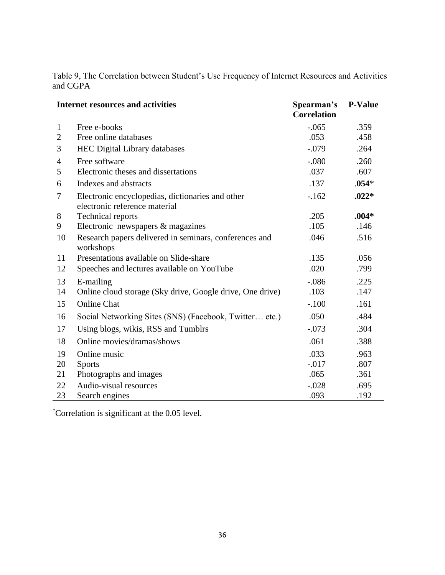|                | <b>Internet resources and activities</b>                                          | Spearman's<br><b>Correlation</b> | <b>P-Value</b> |
|----------------|-----------------------------------------------------------------------------------|----------------------------------|----------------|
| $\mathbf{1}$   | Free e-books                                                                      | $-.065$                          | .359           |
| $\mathfrak{2}$ | Free online databases                                                             | .053                             | .458           |
| 3              | <b>HEC Digital Library databases</b>                                              | $-.079$                          | .264           |
| 4              | Free software                                                                     | $-.080$                          | .260           |
| 5              | Electronic theses and dissertations                                               | .037                             | .607           |
| 6              | Indexes and abstracts                                                             | .137                             | $.054*$        |
| 7              | Electronic encyclopedias, dictionaries and other<br>electronic reference material | $-.162$                          | $.022*$        |
| 8              | <b>Technical reports</b>                                                          | .205                             | $.004*$        |
| 9              | Electronic newspapers $&$ magazines                                               | .105                             | .146           |
| 10             | Research papers delivered in seminars, conferences and<br>workshops               | .046                             | .516           |
| 11             | Presentations available on Slide-share                                            | .135                             | .056           |
| 12             | Speeches and lectures available on YouTube                                        | .020                             | .799           |
| 13             | E-mailing                                                                         | $-.086$                          | .225           |
| 14             | Online cloud storage (Sky drive, Google drive, One drive)                         | .103                             | .147           |
| 15             | <b>Online Chat</b>                                                                | $-.100$                          | .161           |
| 16             | Social Networking Sites (SNS) (Facebook, Twitter etc.)                            | .050                             | .484           |
| 17             | Using blogs, wikis, RSS and Tumblrs                                               | $-.073$                          | .304           |
| 18             | Online movies/dramas/shows                                                        | .061                             | .388           |
| 19             | Online music                                                                      | .033                             | .963           |
| 20             | <b>Sports</b>                                                                     | $-0.017$                         | .807           |
| 21             | Photographs and images                                                            | .065                             | .361           |
| 22             | Audio-visual resources                                                            | $-.028$                          | .695           |
| 23             | Search engines                                                                    | .093                             | .192           |

Table 9, The Correlation between Student's Use Frequency of Internet Resources and Activities and CGPA

*\**Correlation is significant at the 0.05 level.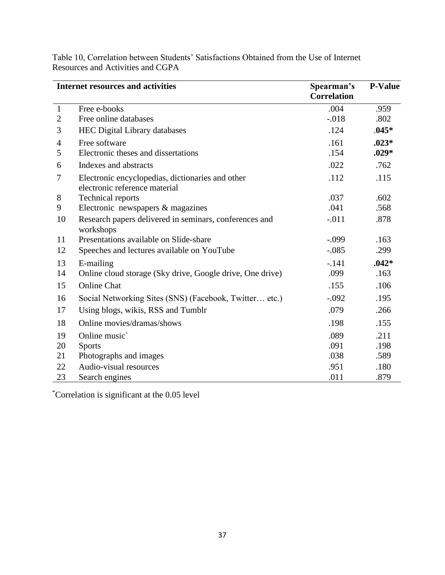|                | <b>Internet resources and activities</b>                            | Spearman's<br><b>Correlation</b> | <b>P-Value</b> |
|----------------|---------------------------------------------------------------------|----------------------------------|----------------|
| $\mathbf{1}$   | Free e-books                                                        | .004                             | .959           |
| $\overline{2}$ | Free online databases                                               | $-0.018$                         | .802           |
| 3              | <b>HEC Digital Library databases</b>                                | .124                             | $.045*$        |
| $\overline{4}$ | Free software                                                       | .161                             | $.023*$        |
| 5              | Electronic theses and dissertations                                 | .154                             | $.029*$        |
| 6              | Indexes and abstracts                                               | .022                             | .762           |
| 7              | Electronic encyclopedias, dictionaries and other                    | .112                             | .115           |
|                | electronic reference material                                       |                                  |                |
| 8              | <b>Technical reports</b>                                            | .037                             | .602           |
| 9              | Electronic newspapers & magazines                                   | .041                             | .568           |
| 10             | Research papers delivered in seminars, conferences and<br>workshops | $-.011$                          | .878           |
| 11             | Presentations available on Slide-share                              | $-.099$                          | .163           |
| 12             | Speeches and lectures available on YouTube                          | $-.085$                          | .299           |
| 13             | E-mailing                                                           | $-.141$                          | $.042*$        |
| 14             | Online cloud storage (Sky drive, Google drive, One drive)           | .099                             | .163           |
| 15             | <b>Online Chat</b>                                                  | .155                             | .106           |
| 16             | Social Networking Sites (SNS) (Facebook, Twitter etc.)              | $-.092$                          | .195           |
| 17             | Using blogs, wikis, RSS and Tumblr                                  | .079                             | .266           |
| 18             | Online movies/dramas/shows                                          | .198                             | .155           |
| 19             | Online music                                                        | .089                             | .211           |
| 20             | <b>Sports</b>                                                       | .091                             | .198           |
| 21             | Photographs and images                                              | .038                             | .589           |
| 22             | Audio-visual resources                                              | .951                             | .180           |
| 23             | Search engines                                                      | .011                             | .879           |

Table 10, Correlation between Students' Satisfactions Obtained from the Use of Internet Resources and Activities and CGPA

\*Correlation is significant at the 0.05 level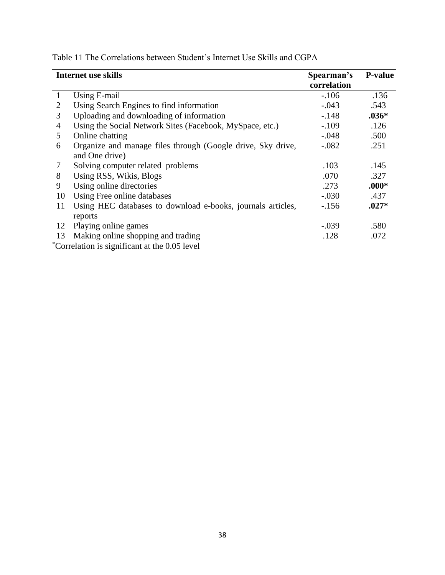| <b>Internet use skills</b>                                  | Spearman's                                                                                           | <b>P-value</b>                             |
|-------------------------------------------------------------|------------------------------------------------------------------------------------------------------|--------------------------------------------|
|                                                             |                                                                                                      | .136                                       |
|                                                             |                                                                                                      |                                            |
|                                                             |                                                                                                      | .543                                       |
|                                                             |                                                                                                      | $.036*$                                    |
| Using the Social Network Sites (Facebook, MySpace, etc.)    | $-.109$                                                                                              | .126                                       |
| Online chatting                                             | $-.048$                                                                                              | .500                                       |
| Organize and manage files through (Google drive, Sky drive, | $-.082$                                                                                              | .251                                       |
| and One drive)                                              |                                                                                                      |                                            |
| Solving computer related problems                           | .103                                                                                                 | .145                                       |
| Using RSS, Wikis, Blogs                                     | .070                                                                                                 | .327                                       |
| Using online directories                                    | .273                                                                                                 | $.000*$                                    |
| Using Free online databases                                 | $-.030$                                                                                              | .437                                       |
| Using HEC databases to download e-books, journals articles, | $-156$                                                                                               | $.027*$                                    |
| reports                                                     |                                                                                                      |                                            |
| Playing online games                                        | $-.039$                                                                                              | .580                                       |
| Making online shopping and trading                          | .128                                                                                                 | .072                                       |
|                                                             | Using E-mail<br>Using Search Engines to find information<br>Uploading and downloading of information | correlation<br>$-106$<br>$-.043$<br>$-148$ |

Table 11 The Correlations between Student's Internet Use Skills and CGPA

\*Correlation is significant at the 0.05 level